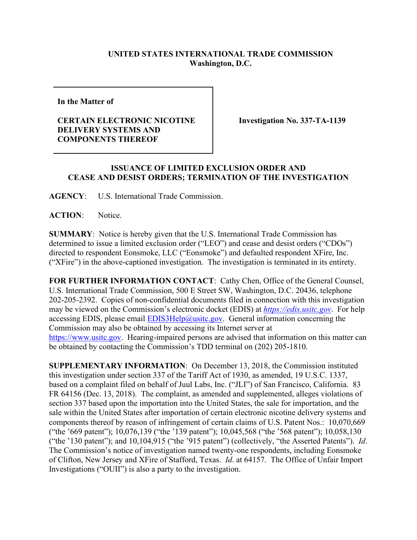## **UNITED STATES INTERNATIONAL TRADE COMMISSION Washington, D.C.**

**In the Matter of**

## **CERTAIN ELECTRONIC NICOTINE DELIVERY SYSTEMS AND COMPONENTS THEREOF**

**Investigation No. 337-TA-1139**

## **ISSUANCE OF LIMITED EXCLUSION ORDER AND CEASE AND DESIST ORDERS; TERMINATION OF THE INVESTIGATION**

**AGENCY**: U.S. International Trade Commission.

**ACTION**: Notice.

**SUMMARY**: Notice is hereby given that the U.S. International Trade Commission has determined to issue a limited exclusion order ("LEO") and cease and desist orders ("CDOs") directed to respondent Eonsmoke, LLC ("Eonsmoke") and defaulted respondent XFire, Inc. ("XFire") in the above-captioned investigation. The investigation is terminated in its entirety.

**FOR FURTHER INFORMATION CONTACT**: Cathy Chen, Office of the General Counsel, U.S. International Trade Commission, 500 E Street SW, Washington, D.C. 20436, telephone 202-205-2392. Copies of non-confidential documents filed in connection with this investigation may be viewed on the Commission's electronic docket (EDIS) at *[https://edis.usitc.gov](https://edis.usitc.gov/)*. For help accessing EDIS, please email  $EDIS3Help@ustc.gov$ . General information concerning the Commission may also be obtained by accessing its Internet server at [https://www.usitc.gov.](https://www.usitc.gov/) Hearing-impaired persons are advised that information on this matter can be obtained by contacting the Commission's TDD terminal on (202) 205-1810.

**SUPPLEMENTARY INFORMATION**: On December 13, 2018, the Commission instituted this investigation under section 337 of the Tariff Act of 1930, as amended, 19 U.S.C. 1337, based on a complaint filed on behalf of Juul Labs, Inc. ("JLI") of San Francisco, California. 83 FR 64156 (Dec. 13, 2018). The complaint, as amended and supplemented, alleges violations of section 337 based upon the importation into the United States, the sale for importation, and the sale within the United States after importation of certain electronic nicotine delivery systems and components thereof by reason of infringement of certain claims of U.S. Patent Nos.: 10,070,669 ("the '669 patent"); 10,076,139 ("the '139 patent"); 10,045,568 ("the '568 patent"); 10,058,130 ("the '130 patent"); and 10,104,915 ("the '915 patent") (collectively, "the Asserted Patents"). *Id*. The Commission's notice of investigation named twenty-one respondents, including Eonsmoke of Clifton, New Jersey and XFire of Stafford, Texas. *Id*. at 64157. The Office of Unfair Import Investigations ("OUII") is also a party to the investigation.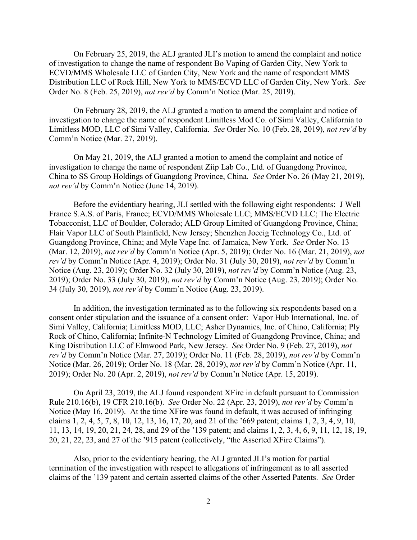On February 25, 2019, the ALJ granted JLI's motion to amend the complaint and notice of investigation to change the name of respondent Bo Vaping of Garden City, New York to ECVD/MMS Wholesale LLC of Garden City, New York and the name of respondent MMS Distribution LLC of Rock Hill, New York to MMS/ECVD LLC of Garden City, New York. *See*  Order No. 8 (Feb. 25, 2019), *not rev'd* by Comm'n Notice (Mar. 25, 2019).

On February 28, 2019, the ALJ granted a motion to amend the complaint and notice of investigation to change the name of respondent Limitless Mod Co. of Simi Valley, California to Limitless MOD, LLC of Simi Valley, California. *See* Order No. 10 (Feb. 28, 2019), *not rev'd* by Comm'n Notice (Mar. 27, 2019).

On May 21, 2019, the ALJ granted a motion to amend the complaint and notice of investigation to change the name of respondent Ziip Lab Co., Ltd. of Guangdong Province, China to SS Group Holdings of Guangdong Province, China. *See* Order No. 26 (May 21, 2019), *not rev'd* by Comm'n Notice (June 14, 2019).

Before the evidentiary hearing, JLI settled with the following eight respondents: J Well France S.A.S. of Paris, France; ECVD/MMS Wholesale LLC; MMS/ECVD LLC; The Electric Tobacconist, LLC of Boulder, Colorado; ALD Group Limited of Guangdong Province, China; Flair Vapor LLC of South Plainfield, New Jersey; Shenzhen Joecig Technology Co., Ltd. of Guangdong Province, China; and Myle Vape Inc. of Jamaica, New York. *See* Order No. 13 (Mar. 12, 2019), *not rev'd* by Comm'n Notice (Apr. 5, 2019); Order No. 16 (Mar. 21, 2019), *not rev'd* by Comm'n Notice (Apr. 4, 2019); Order No. 31 (July 30, 2019), *not rev'd* by Comm'n Notice (Aug. 23, 2019); Order No. 32 (July 30, 2019), *not rev'd* by Comm'n Notice (Aug. 23, 2019); Order No. 33 (July 30, 2019), *not rev'd* by Comm'n Notice (Aug. 23, 2019); Order No. 34 (July 30, 2019), *not rev'd* by Comm'n Notice (Aug. 23, 2019).

In addition, the investigation terminated as to the following six respondents based on a consent order stipulation and the issuance of a consent order: Vapor Hub International, Inc. of Simi Valley, California; Limitless MOD, LLC; Asher Dynamics, Inc. of Chino, California; Ply Rock of Chino, California; Infinite-N Technology Limited of Guangdong Province, China; and King Distribution LLC of Elmwood Park, New Jersey. *See* Order No. 9 (Feb. 27, 2019), *not rev'd* by Comm'n Notice (Mar. 27, 2019); Order No. 11 (Feb. 28, 2019), *not rev'd* by Comm'n Notice (Mar. 26, 2019); Order No. 18 (Mar. 28, 2019), *not rev'd* by Comm'n Notice (Apr. 11, 2019); Order No. 20 (Apr. 2, 2019), *not rev'd* by Comm'n Notice (Apr. 15, 2019).

On April 23, 2019, the ALJ found respondent XFire in default pursuant to Commission Rule 210.16(b), 19 CFR 210.16(b). *See* Order No. 22 (Apr. 23, 2019), *not rev'd* by Comm'n Notice (May 16, 2019). At the time XFire was found in default, it was accused of infringing claims 1, 2, 4, 5, 7, 8, 10, 12, 13, 16, 17, 20, and 21 of the '669 patent; claims 1, 2, 3, 4, 9, 10, 11, 13, 14, 19, 20, 21, 24, 28, and 29 of the '139 patent; and claims 1, 2, 3, 4, 6, 9, 11, 12, 18, 19, 20, 21, 22, 23, and 27 of the '915 patent (collectively, "the Asserted XFire Claims").

Also, prior to the evidentiary hearing, the ALJ granted JLI's motion for partial termination of the investigation with respect to allegations of infringement as to all asserted claims of the '139 patent and certain asserted claims of the other Asserted Patents. *See* Order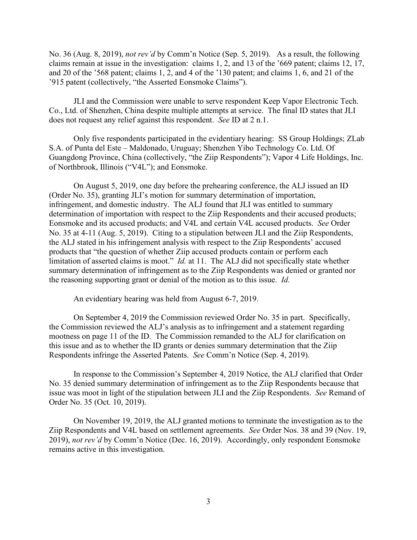No. 36 (Aug. 8, 2019), *not rev'd* by Comm'n Notice (Sep. 5, 2019). As a result, the following claims remain at issue in the investigation: claims 1, 2, and 13 of the '669 patent; claims 12, 17, and 20 of the '568 patent; claims 1, 2, and 4 of the '130 patent; and claims 1, 6, and 21 of the '915 patent (collectively, "the Asserted Eonsmoke Claims").

JLI and the Commission were unable to serve respondent Keep Vapor Electronic Tech. Co., Ltd. of Shenzhen, China despite multiple attempts at service. The final ID states that JLI does not request any relief against this respondent. *See* ID at 2 n.1.

Only five respondents participated in the evidentiary hearing: SS Group Holdings; ZLab S.A. of Punta del Este – Maldonado, Uruguay; Shenzhen Yibo Technology Co. Ltd. Of Guangdong Province, China (collectively, "the Ziip Respondents"); Vapor 4 Life Holdings, Inc. of Northbrook, Illinois ("V4L"); and Eonsmoke.

On August 5, 2019, one day before the prehearing conference, the ALJ issued an ID (Order No. 35), granting JLI's motion for summary determination of importation, infringement, and domestic industry. The ALJ found that JLI was entitled to summary determination of importation with respect to the Ziip Respondents and their accused products; Eonsmoke and its accused products; and V4L and certain V4L accused products. *See* Order No. 35 at 4-11 (Aug. 5, 2019). Citing to a stipulation between JLI and the Ziip Respondents, the ALJ stated in his infringement analysis with respect to the Ziip Respondents' accused products that "the question of whether Ziip accused products contain or perform each limitation of asserted claims is moot." *Id.* at 11. The ALJ did not specifically state whether summary determination of infringement as to the Ziip Respondents was denied or granted nor the reasoning supporting grant or denial of the motion as to this issue. *Id.*

An evidentiary hearing was held from August 6-7, 2019.

On September 4, 2019 the Commission reviewed Order No. 35 in part. Specifically, the Commission reviewed the ALJ's analysis as to infringement and a statement regarding mootness on page 11 of the ID. The Commission remanded to the ALJ for clarification on this issue and as to whether the ID grants or denies summary determination that the Ziip Respondents infringe the Asserted Patents. *See* Comm'n Notice (Sep. 4, 2019).

In response to the Commission's September 4, 2019 Notice, the ALJ clarified that Order No. 35 denied summary determination of infringement as to the Ziip Respondents because that issue was moot in light of the stipulation between JLI and the Ziip Respondents. *See* Remand of Order No. 35 (Oct. 10, 2019).

On November 19, 2019, the ALJ granted motions to terminate the investigation as to the Ziip Respondents and V4L based on settlement agreements. *See* Order Nos. 38 and 39 (Nov. 19, 2019), *not rev'd* by Comm'n Notice (Dec. 16, 2019). Accordingly, only respondent Eonsmoke remains active in this investigation.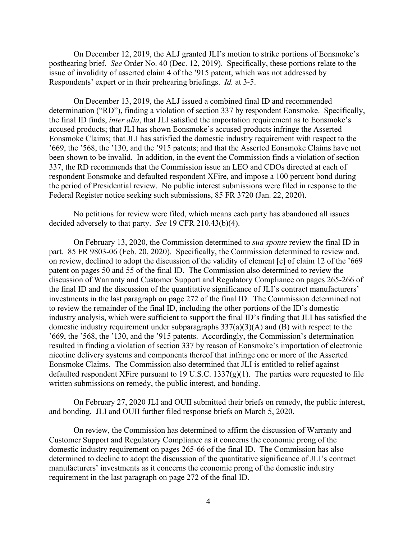On December 12, 2019, the ALJ granted JLI's motion to strike portions of Eonsmoke's posthearing brief. *See* Order No. 40 (Dec. 12, 2019). Specifically, these portions relate to the issue of invalidity of asserted claim 4 of the '915 patent, which was not addressed by Respondents' expert or in their prehearing briefings. *Id.* at 3-5.

On December 13, 2019, the ALJ issued a combined final ID and recommended determination ("RD"), finding a violation of section 337 by respondent Eonsmoke. Specifically, the final ID finds, *inter alia*, that JLI satisfied the importation requirement as to Eonsmoke's accused products; that JLI has shown Eonsmoke's accused products infringe the Asserted Eonsmoke Claims; that JLI has satisfied the domestic industry requirement with respect to the '669, the '568, the '130, and the '915 patents; and that the Asserted Eonsmoke Claims have not been shown to be invalid. In addition, in the event the Commission finds a violation of section 337, the RD recommends that the Commission issue an LEO and CDOs directed at each of respondent Eonsmoke and defaulted respondent XFire, and impose a 100 percent bond during the period of Presidential review. No public interest submissions were filed in response to the Federal Register notice seeking such submissions, 85 FR 3720 (Jan. 22, 2020).

No petitions for review were filed, which means each party has abandoned all issues decided adversely to that party. *See* 19 CFR 210.43(b)(4).

On February 13, 2020, the Commission determined to *sua sponte* review the final ID in part. 85 FR 9803-06 (Feb. 20, 2020). Specifically, the Commission determined to review and, on review, declined to adopt the discussion of the validity of element [c] of claim 12 of the '669 patent on pages 50 and 55 of the final ID. The Commission also determined to review the discussion of Warranty and Customer Support and Regulatory Compliance on pages 265-266 of the final ID and the discussion of the quantitative significance of JLI's contract manufacturers' investments in the last paragraph on page 272 of the final ID. The Commission determined not to review the remainder of the final ID, including the other portions of the ID's domestic industry analysis, which were sufficient to support the final ID's finding that JLI has satisfied the domestic industry requirement under subparagraphs 337(a)(3)(A) and (B) with respect to the '669, the '568, the '130, and the '915 patents. Accordingly, the Commission's determination resulted in finding a violation of section 337 by reason of Eonsmoke's importation of electronic nicotine delivery systems and components thereof that infringe one or more of the Asserted Eonsmoke Claims. The Commission also determined that JLI is entitled to relief against defaulted respondent XFire pursuant to 19 U.S.C.  $1337(g)(1)$ . The parties were requested to file written submissions on remedy, the public interest, and bonding.

On February 27, 2020 JLI and OUII submitted their briefs on remedy, the public interest, and bonding. JLI and OUII further filed response briefs on March 5, 2020.

On review, the Commission has determined to affirm the discussion of Warranty and Customer Support and Regulatory Compliance as it concerns the economic prong of the domestic industry requirement on pages 265-66 of the final ID. The Commission has also determined to decline to adopt the discussion of the quantitative significance of JLI's contract manufacturers' investments as it concerns the economic prong of the domestic industry requirement in the last paragraph on page 272 of the final ID.